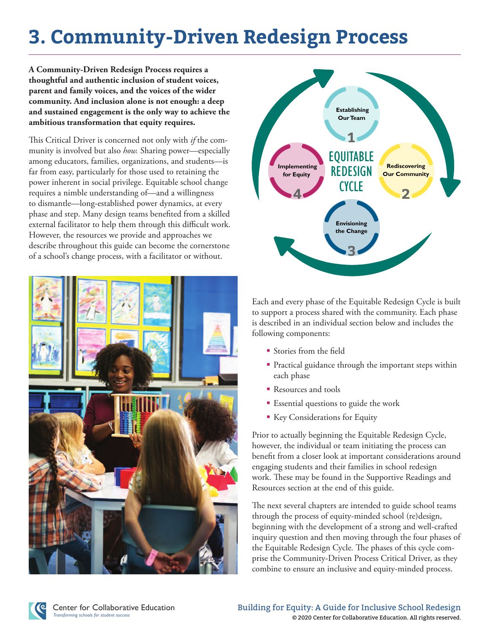# **3. Community-Driven Redesign Process**

**A Community-Driven Redesign Process requires a thoughtful and authentic inclusion of student voices, parent and family voices, and the voices of the wider community. And inclusion alone is not enough: a deep and sustained engagement is the only way to achieve the ambitious transformation that equity requires.** 

This Critical Driver is concerned not only with *if* the community is involved but also *how.* Sharing power—especially among educators, families, organizations, and students—is far from easy, particularly for those used to retaining the power inherent in social privilege. Equitable school change requires a nimble understanding of—and a willingness to dismantle—long-established power dynamics, at every phase and step. Many design teams benefited from a skilled external facilitator to help them through this difficult work. However, the resources we provide and approaches we describe throughout this guide can become the cornerstone of a school's change process, with a facilitator or without.





Each and every phase of the Equitable Redesign Cycle is built to support a process shared with the community. Each phase is described in an individual section below and includes the following components:

- Stories from the field
- Practical guidance through the important steps within each phase
- Resources and tools
- Essential questions to guide the work
- Key Considerations for Equity

Prior to actually beginning the Equitable Redesign Cycle, however, the individual or team initiating the process can benefit from a closer look at important considerations around engaging students and their families in school redesign work. These may be found in the Supportive Readings and Resources section at the end of this guide.

The next several chapters are intended to guide school teams through the process of equity-minded school (re)design, beginning with the development of a strong and well-crafted inquiry question and then moving through the four phases of the Equitable Redesign Cycle*.* The phases of this cycle comprise the Community-Driven Process Critical Driver, as they combine to ensure an inclusive and equity-minded process.

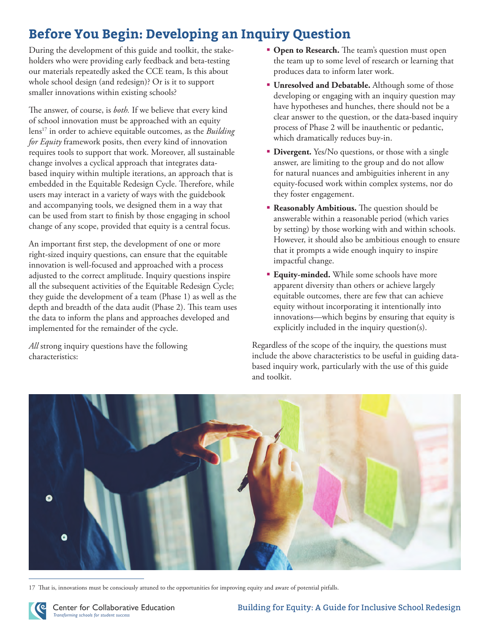## **Before You Begin: Developing an Inquiry Question**

During the development of this guide and toolkit, the stakeholders who were providing early feedback and beta-testing our materials repeatedly asked the CCE team, Is this about whole school design (and redesign)? Or is it to support smaller innovations within existing schools?

The answer, of course, is *both.* If we believe that every kind of school innovation must be approached with an equity lens17 in order to achieve equitable outcomes, as the *Building for Equity* framework posits, then every kind of innovation requires tools to support that work. Moreover, all sustainable change involves a cyclical approach that integrates databased inquiry within multiple iterations, an approach that is embedded in the Equitable Redesign Cycle. Therefore, while users may interact in a variety of ways with the guidebook and accompanying tools, we designed them in a way that can be used from start to finish by those engaging in school change of any scope, provided that equity is a central focus.

An important first step, the development of one or more right-sized inquiry questions, can ensure that the equitable innovation is well-focused and approached with a process adjusted to the correct amplitude. Inquiry questions inspire all the subsequent activities of the Equitable Redesign Cycle; they guide the development of a team (Phase 1) as well as the depth and breadth of the data audit (Phase 2). This team uses the data to inform the plans and approaches developed and implemented for the remainder of the cycle.

*All* strong inquiry questions have the following characteristics:

- **Open to Research.** The team's question must open the team up to some level of research or learning that produces data to inform later work.
- **Unresolved and Debatable.** Although some of those developing or engaging with an inquiry question may have hypotheses and hunches, there should not be a clear answer to the question, or the data-based inquiry process of Phase 2 will be inauthentic or pedantic, which dramatically reduces buy-in.
- **Divergent.** Yes/No questions, or those with a single answer, are limiting to the group and do not allow for natural nuances and ambiguities inherent in any equity-focused work within complex systems, nor do they foster engagement.
- **Reasonably Ambitious.** The question should be answerable within a reasonable period (which varies by setting) by those working with and within schools. However, it should also be ambitious enough to ensure that it prompts a wide enough inquiry to inspire impactful change.
- **Equity-minded.** While some schools have more apparent diversity than others or achieve largely equitable outcomes, there are few that can achieve equity without incorporating it intentionally into innovations—which begins by ensuring that equity is explicitly included in the inquiry question(s).

Regardless of the scope of the inquiry, the questions must include the above characteristics to be useful in guiding databased inquiry work, particularly with the use of this guide and toolkit.



17 That is, innovations must be consciously attuned to the opportunities for improving equity and aware of potential pitfalls.

Center for Collaborative Education *Transforming schools for student success*